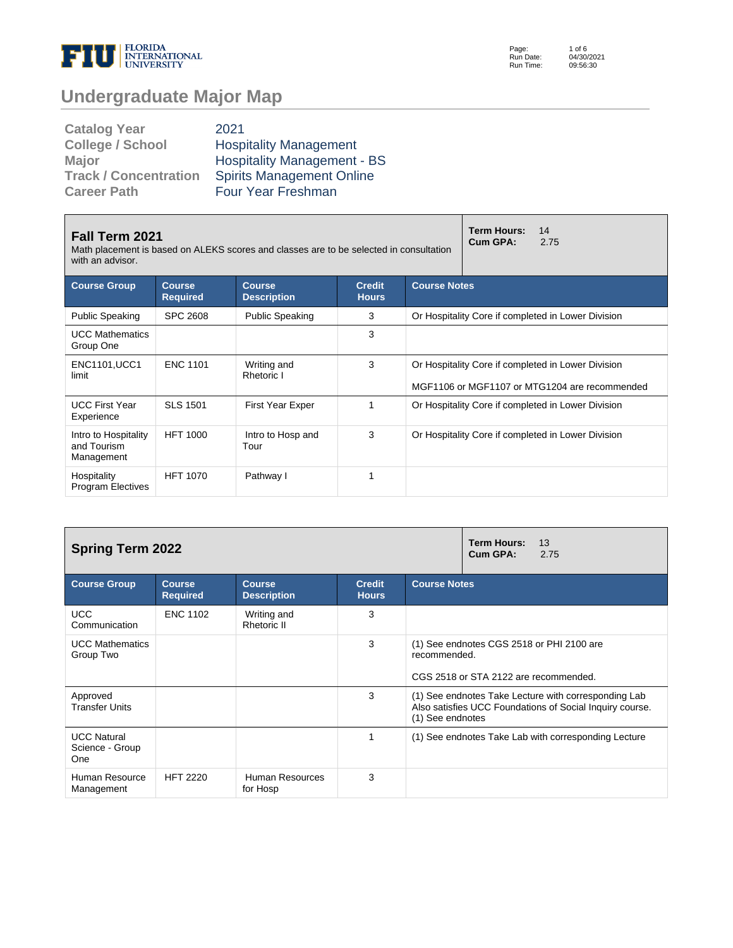

Page: Run Date: Run Time: 1 of 6 04/30/2021 09:56:30

# **Undergraduate Major Map**

| <b>Catalog Year</b>          | 2021                               |
|------------------------------|------------------------------------|
| <b>College / School</b>      | <b>Hospitality Management</b>      |
| <b>Major</b>                 | <b>Hospitality Management - BS</b> |
| <b>Track / Concentration</b> | <b>Spirits Management Online</b>   |
| <b>Career Path</b>           | <b>Four Year Freshman</b>          |

| <b>Fall Term 2021</b><br>Math placement is based on ALEKS scores and classes are to be selected in consultation<br>with an advisor. |                                  |                                     |                               |                                                                                                     | <b>Term Hours:</b><br>14<br>Cum GPA:<br>2.75       |  |  |
|-------------------------------------------------------------------------------------------------------------------------------------|----------------------------------|-------------------------------------|-------------------------------|-----------------------------------------------------------------------------------------------------|----------------------------------------------------|--|--|
| <b>Course Group</b>                                                                                                                 | <b>Course</b><br><b>Required</b> | <b>Course</b><br><b>Description</b> | <b>Credit</b><br><b>Hours</b> | <b>Course Notes</b>                                                                                 |                                                    |  |  |
| <b>Public Speaking</b>                                                                                                              | <b>SPC 2608</b>                  | <b>Public Speaking</b>              | 3                             | Or Hospitality Core if completed in Lower Division                                                  |                                                    |  |  |
| <b>UCC Mathematics</b><br>Group One                                                                                                 |                                  |                                     | 3                             |                                                                                                     |                                                    |  |  |
| <b>ENC1101, UCC1</b><br>limit                                                                                                       | <b>ENC 1101</b>                  | Writing and<br>Rhetoric I           | 3                             | Or Hospitality Core if completed in Lower Division<br>MGF1106 or MGF1107 or MTG1204 are recommended |                                                    |  |  |
| <b>UCC First Year</b><br>Experience                                                                                                 | <b>SLS 1501</b>                  | First Year Exper                    |                               |                                                                                                     | Or Hospitality Core if completed in Lower Division |  |  |
| Intro to Hospitality<br>and Tourism<br>Management                                                                                   | <b>HFT 1000</b>                  | Intro to Hosp and<br>Tour           | 3                             |                                                                                                     | Or Hospitality Core if completed in Lower Division |  |  |
| Hospitality<br><b>Program Electives</b>                                                                                             | <b>HFT 1070</b>                  | Pathway I                           |                               |                                                                                                     |                                                    |  |  |

| <b>Spring Term 2022</b>                      |                                  | <b>Term Hours:</b><br>13<br>Cum GPA:<br>2.75 |                               |                                                                                                                                      |  |  |
|----------------------------------------------|----------------------------------|----------------------------------------------|-------------------------------|--------------------------------------------------------------------------------------------------------------------------------------|--|--|
| <b>Course Group</b>                          | <b>Course</b><br><b>Required</b> | <b>Course</b><br><b>Description</b>          | <b>Credit</b><br><b>Hours</b> | <b>Course Notes</b>                                                                                                                  |  |  |
| <b>UCC</b><br>Communication                  | <b>ENC 1102</b>                  | Writing and<br>Rhetoric II                   | 3                             |                                                                                                                                      |  |  |
| <b>UCC Mathematics</b><br>Group Two          |                                  |                                              | 3                             | (1) See endnotes CGS 2518 or PHI 2100 are<br>recommended.<br>CGS 2518 or STA 2122 are recommended.                                   |  |  |
| Approved<br><b>Transfer Units</b>            |                                  |                                              | 3                             | (1) See endnotes Take Lecture with corresponding Lab<br>Also satisfies UCC Foundations of Social Inquiry course.<br>(1) See endnotes |  |  |
| <b>UCC Natural</b><br>Science - Group<br>One |                                  |                                              | 1                             | (1) See endnotes Take Lab with corresponding Lecture                                                                                 |  |  |
| Human Resource<br>Management                 | <b>HFT 2220</b>                  | Human Resources<br>for Hosp                  | 3                             |                                                                                                                                      |  |  |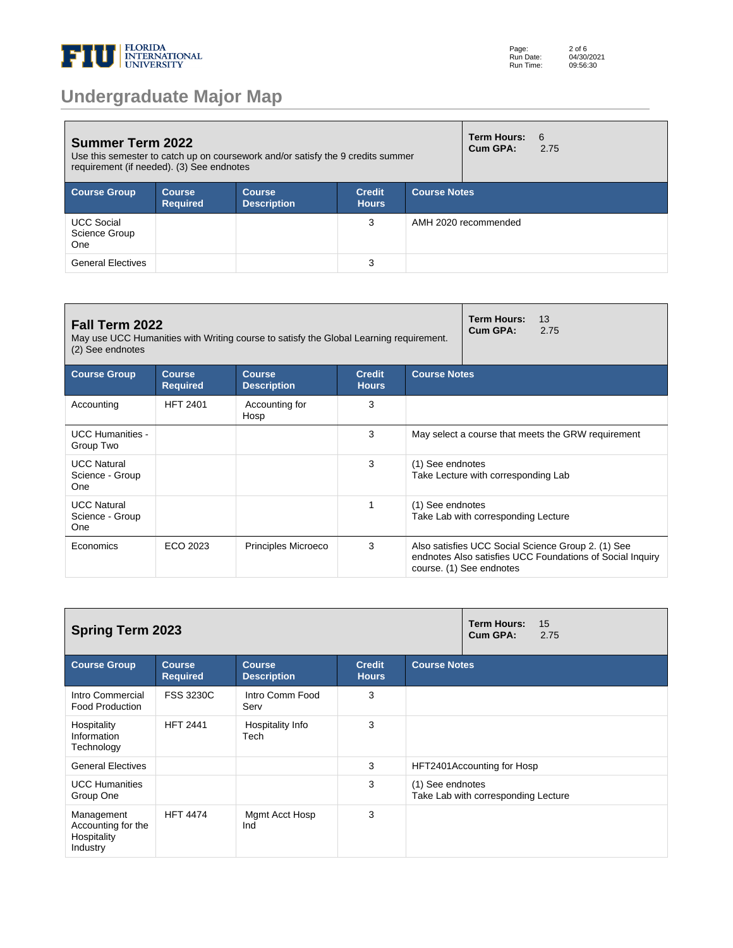

| <b>Summer Term 2022</b><br>Use this semester to catch up on coursework and/or satisfy the 9 credits summer<br>requirement (if needed). (3) See endnotes |                                  |                                     |                               |                     | <b>Term Hours:</b><br>Cum GPA: | 6<br>2.75 |
|---------------------------------------------------------------------------------------------------------------------------------------------------------|----------------------------------|-------------------------------------|-------------------------------|---------------------|--------------------------------|-----------|
| <b>Course Group</b>                                                                                                                                     | <b>Course</b><br><b>Required</b> | <b>Course</b><br><b>Description</b> | <b>Credit</b><br><b>Hours</b> | <b>Course Notes</b> |                                |           |
| <b>UCC Social</b><br>Science Group<br>One                                                                                                               |                                  |                                     | 3                             |                     | AMH 2020 recommended           |           |
| <b>General Electives</b>                                                                                                                                |                                  |                                     | 3                             |                     |                                |           |

| Fall Term 2022<br>May use UCC Humanities with Writing course to satisfy the Global Learning requirement.<br>(2) See endnotes |                                  |                                     |                               |                                                         | <b>Term Hours:</b><br>13<br>Cum GPA:<br>2.75                                                                                                |  |  |
|------------------------------------------------------------------------------------------------------------------------------|----------------------------------|-------------------------------------|-------------------------------|---------------------------------------------------------|---------------------------------------------------------------------------------------------------------------------------------------------|--|--|
| <b>Course Group</b>                                                                                                          | <b>Course</b><br><b>Required</b> | <b>Course</b><br><b>Description</b> | <b>Credit</b><br><b>Hours</b> | <b>Course Notes</b>                                     |                                                                                                                                             |  |  |
| Accounting                                                                                                                   | <b>HFT 2401</b>                  | Accounting for<br>Hosp              | 3                             |                                                         |                                                                                                                                             |  |  |
| <b>UCC Humanities -</b><br>Group Two                                                                                         |                                  |                                     | 3                             | May select a course that meets the GRW requirement      |                                                                                                                                             |  |  |
| <b>UCC Natural</b><br>Science - Group<br>One                                                                                 |                                  |                                     | 3                             | (1) See endnotes<br>Take Lecture with corresponding Lab |                                                                                                                                             |  |  |
| <b>UCC Natural</b><br>Science - Group<br>One                                                                                 |                                  |                                     | 1                             | (1) See endnotes<br>Take Lab with corresponding Lecture |                                                                                                                                             |  |  |
| Economics                                                                                                                    | ECO 2023                         | Principles Microeco                 | 3                             |                                                         | Also satisfies UCC Social Science Group 2. (1) See<br>endnotes Also satisfies UCC Foundations of Social Inquiry<br>course. (1) See endnotes |  |  |

| <b>Spring Term 2023</b>                                     |                                  |                                     |                               |                     | <b>Term Hours:</b><br>15<br>Cum GPA:<br>2.75 |  |
|-------------------------------------------------------------|----------------------------------|-------------------------------------|-------------------------------|---------------------|----------------------------------------------|--|
| <b>Course Group</b>                                         | <b>Course</b><br><b>Required</b> | <b>Course</b><br><b>Description</b> | <b>Credit</b><br><b>Hours</b> | <b>Course Notes</b> |                                              |  |
| Intro Commercial<br><b>Food Production</b>                  | <b>FSS 3230C</b>                 | Intro Comm Food<br>Serv             | 3                             |                     |                                              |  |
| Hospitality<br>Information<br>Technology                    | <b>HFT 2441</b>                  | Hospitality Info<br>Tech            | 3                             |                     |                                              |  |
| <b>General Electives</b>                                    |                                  |                                     | 3                             |                     | HFT2401 Accounting for Hosp                  |  |
| <b>UCC Humanities</b><br>Group One                          |                                  |                                     | 3                             | (1) See endnotes    | Take Lab with corresponding Lecture          |  |
| Management<br>Accounting for the<br>Hospitality<br>Industry | <b>HFT 4474</b>                  | Mgmt Acct Hosp<br>Ind               | 3                             |                     |                                              |  |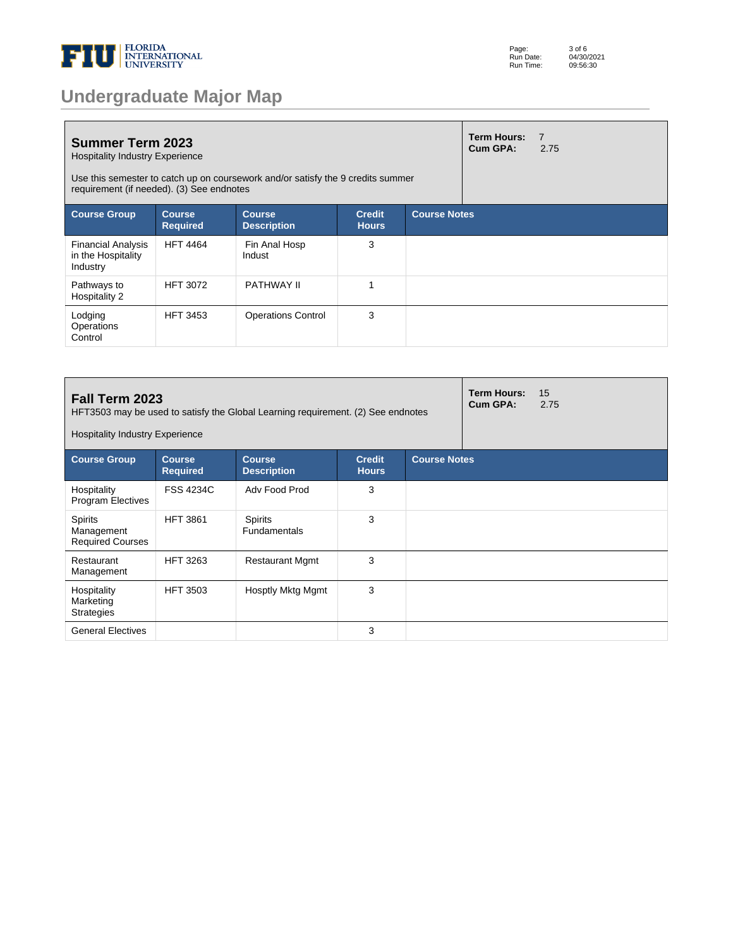

| <b>Undergraduate Major Map</b> |  |  |
|--------------------------------|--|--|
|--------------------------------|--|--|

| <b>Summer Term 2023</b><br><b>Hospitality Industry Experience</b><br>Use this semester to catch up on coursework and/or satisfy the 9 credits summer<br>requirement (if needed). (3) See endnotes |                            |                                     |                               |                     | <b>Term Hours:</b><br>Cum GPA: | $\overline{7}$<br>2.75 |
|---------------------------------------------------------------------------------------------------------------------------------------------------------------------------------------------------|----------------------------|-------------------------------------|-------------------------------|---------------------|--------------------------------|------------------------|
| <b>Course Group</b>                                                                                                                                                                               | Course.<br><b>Required</b> | <b>Course</b><br><b>Description</b> | <b>Credit</b><br><b>Hours</b> | <b>Course Notes</b> |                                |                        |
| <b>Financial Analysis</b><br>in the Hospitality<br>Industry                                                                                                                                       | <b>HFT 4464</b>            | Fin Anal Hosp<br>Indust             | 3                             |                     |                                |                        |
| Pathways to<br>Hospitality 2                                                                                                                                                                      | <b>HFT 3072</b>            | PATHWAY II                          |                               |                     |                                |                        |
| Lodging<br>Operations<br>Control                                                                                                                                                                  | <b>HFT 3453</b>            | <b>Operations Control</b>           | 3                             |                     |                                |                        |

| Fall Term 2023<br>HFT3503 may be used to satisfy the Global Learning requirement. (2) See endnotes<br><b>Hospitality Industry Experience</b> |                                  |                                       |                               |                     | <b>Term Hours:</b><br>Cum GPA: | 15<br>2.75 |
|----------------------------------------------------------------------------------------------------------------------------------------------|----------------------------------|---------------------------------------|-------------------------------|---------------------|--------------------------------|------------|
| <b>Course Group</b>                                                                                                                          | <b>Course</b><br><b>Required</b> | <b>Course</b><br><b>Description</b>   | <b>Credit</b><br><b>Hours</b> | <b>Course Notes</b> |                                |            |
| Hospitality<br><b>Program Electives</b>                                                                                                      | <b>FSS 4234C</b>                 | Adv Food Prod                         | 3                             |                     |                                |            |
| <b>Spirits</b><br>Management<br><b>Required Courses</b>                                                                                      | <b>HFT 3861</b>                  | <b>Spirits</b><br><b>Fundamentals</b> | 3                             |                     |                                |            |
| Restaurant<br>Management                                                                                                                     | <b>HFT 3263</b>                  | <b>Restaurant Mgmt</b>                | 3                             |                     |                                |            |
| Hospitality<br>Marketing<br><b>Strategies</b>                                                                                                | <b>HFT 3503</b>                  | Hosptly Mktg Mgmt                     | 3                             |                     |                                |            |
| <b>General Electives</b>                                                                                                                     |                                  |                                       | 3                             |                     |                                |            |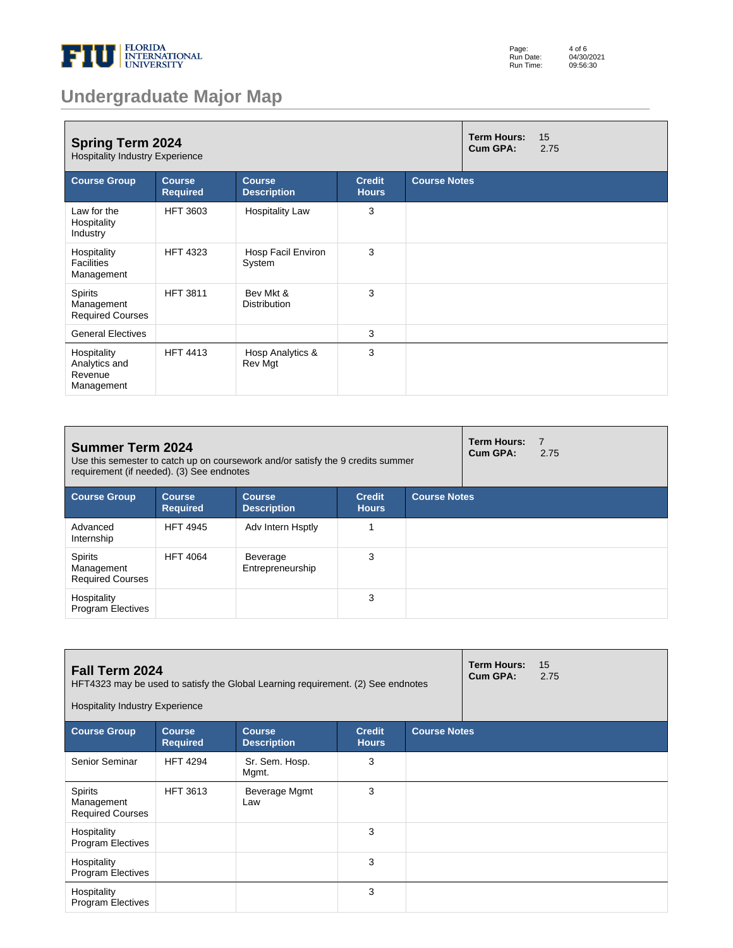

| Page:     | 4 of 6     |
|-----------|------------|
| Run Date: | 04/30/2021 |
| Run Time: | 09:56:30   |

# **Undergraduate Major Map**

| <b>Spring Term 2024</b><br><b>Hospitality Industry Experience</b> |                                  |                                     |                               |                     | <b>Term Hours:</b><br>Cum GPA: | 15<br>2.75 |
|-------------------------------------------------------------------|----------------------------------|-------------------------------------|-------------------------------|---------------------|--------------------------------|------------|
| <b>Course Group</b>                                               | <b>Course</b><br><b>Required</b> | <b>Course</b><br><b>Description</b> | <b>Credit</b><br><b>Hours</b> | <b>Course Notes</b> |                                |            |
| Law for the<br>Hospitality<br>Industry                            | <b>HFT 3603</b>                  | <b>Hospitality Law</b>              | 3                             |                     |                                |            |
| Hospitality<br><b>Facilities</b><br>Management                    | <b>HFT 4323</b>                  | Hosp Facil Environ<br>System        | 3                             |                     |                                |            |
| Spirits<br>Management<br><b>Required Courses</b>                  | <b>HFT 3811</b>                  | Bev Mkt &<br><b>Distribution</b>    | 3                             |                     |                                |            |
| <b>General Electives</b>                                          |                                  |                                     | 3                             |                     |                                |            |
| Hospitality<br>Analytics and<br>Revenue<br>Management             | <b>HFT 4413</b>                  | Hosp Analytics &<br>Rev Mgt         | 3                             |                     |                                |            |

| <b>Summer Term 2024</b><br>Use this semester to catch up on coursework and/or satisfy the 9 credits summer<br>requirement (if needed). (3) See endnotes |                                  |                                     |                               |                     | <b>Term Hours:</b><br>Cum GPA: | 7<br>2.75 |
|---------------------------------------------------------------------------------------------------------------------------------------------------------|----------------------------------|-------------------------------------|-------------------------------|---------------------|--------------------------------|-----------|
| <b>Course Group</b>                                                                                                                                     | <b>Course</b><br><b>Required</b> | <b>Course</b><br><b>Description</b> | <b>Credit</b><br><b>Hours</b> | <b>Course Notes</b> |                                |           |
| Advanced<br>Internship                                                                                                                                  | <b>HFT 4945</b>                  | Adv Intern Hsptly                   |                               |                     |                                |           |
| <b>Spirits</b><br>Management<br><b>Required Courses</b>                                                                                                 | <b>HFT 4064</b>                  | Beverage<br>Entrepreneurship        | 3                             |                     |                                |           |
| Hospitality<br><b>Program Electives</b>                                                                                                                 |                                  |                                     | 3                             |                     |                                |           |

| Fall Term 2024<br>HFT4323 may be used to satisfy the Global Learning requirement. (2) See endnotes<br><b>Hospitality Industry Experience</b> |                                  |                                     |                               |                     | <b>Term Hours:</b><br>Cum GPA: | 15<br>2.75 |
|----------------------------------------------------------------------------------------------------------------------------------------------|----------------------------------|-------------------------------------|-------------------------------|---------------------|--------------------------------|------------|
| <b>Course Group</b>                                                                                                                          | <b>Course</b><br><b>Required</b> | <b>Course</b><br><b>Description</b> | <b>Credit</b><br><b>Hours</b> | <b>Course Notes</b> |                                |            |
| Senior Seminar                                                                                                                               | <b>HFT 4294</b>                  | Sr. Sem. Hosp.<br>Mgmt.             | 3                             |                     |                                |            |
| <b>Spirits</b><br>Management<br><b>Required Courses</b>                                                                                      | <b>HFT 3613</b>                  | Beverage Mgmt<br>Law                | 3                             |                     |                                |            |
| Hospitality<br><b>Program Electives</b>                                                                                                      |                                  |                                     | 3                             |                     |                                |            |
| Hospitality<br><b>Program Electives</b>                                                                                                      |                                  |                                     | 3                             |                     |                                |            |
| Hospitality<br><b>Program Electives</b>                                                                                                      |                                  |                                     | 3                             |                     |                                |            |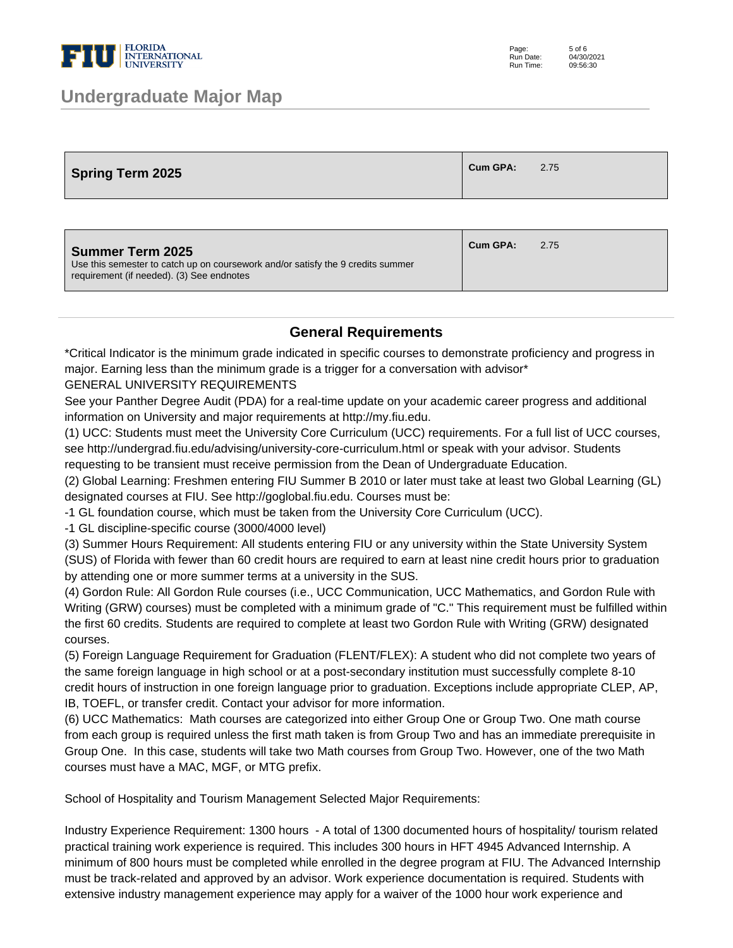

### **Undergraduate Major Map**

| Spring Term 2025 | Cum GPA: | 2.75 |
|------------------|----------|------|
|------------------|----------|------|

| Summer Term 2025<br>Use this semester to catch up on coursework and/or satisfy the 9 credits summer<br>requirement (if needed). (3) See endnotes | Cum GPA: | 2.75 |
|--------------------------------------------------------------------------------------------------------------------------------------------------|----------|------|
|                                                                                                                                                  |          |      |

#### **General Requirements**

\*Critical Indicator is the minimum grade indicated in specific courses to demonstrate proficiency and progress in major. Earning less than the minimum grade is a trigger for a conversation with advisor\*

GENERAL UNIVERSITY REQUIREMENTS

See your Panther Degree Audit (PDA) for a real-time update on your academic career progress and additional information on University and major requirements at http://my.fiu.edu.

(1) UCC: Students must meet the University Core Curriculum (UCC) requirements. For a full list of UCC courses, see http://undergrad.fiu.edu/advising/university-core-curriculum.html or speak with your advisor. Students requesting to be transient must receive permission from the Dean of Undergraduate Education.

(2) Global Learning: Freshmen entering FIU Summer B 2010 or later must take at least two Global Learning (GL) designated courses at FIU. See http://goglobal.fiu.edu. Courses must be:

- 1 GL foundation course, which must be taken from the University Core Curriculum (UCC).

- 1 GL discipline-specific course (3000/4000 level)

(3) Summer Hours Requirement: All students entering FIU or any university within the State University System (SUS) of Florida with fewer than 60 credit hours are required to earn at least nine credit hours prior to graduation by attending one or more summer terms at a university in the SUS.

(4) Gordon Rule: All Gordon Rule courses (i.e., UCC Communication, UCC Mathematics, and Gordon Rule with Writing (GRW) courses) must be completed with a minimum grade of "C." This requirement must be fulfilled within the first 60 credits. Students are required to complete at least two Gordon Rule with Writing (GRW) designated courses.

(5) Foreign Language Requirement for Graduation (FLENT/FLEX): A student who did not complete two years of the same foreign language in high school or at a post-secondary institution must successfully complete 8-10 credit hours of instruction in one foreign language prior to graduation. Exceptions include appropriate CLEP, AP, IB, TOEFL, or transfer credit. Contact your advisor for more information.

(6) UCC Mathematics: Math courses are categorized into either Group One or Group Two. One math course from each group is required unless the first math taken is from Group Two and has an immediate prerequisite in Group One. In this case, students will take two Math courses from Group Two. However, one of the two Math courses must have a MAC, MGF, or MTG prefix.

School of Hospitality and Tourism Management Selected Major Requirements:

Industry Experience Requirement: 1300 hours - A total of 1300 documented hours of hospitality/ tourism related practical training work experience is required. This includes 300 hours in HFT 4945 Advanced Internship. A minimum of 800 hours must be completed while enrolled in the degree program at FIU. The Advanced Internship must be track-related and approved by an advisor. Work experience documentation is required. Students with extensive industry management experience may apply for a waiver of the 1000 hour work experience and